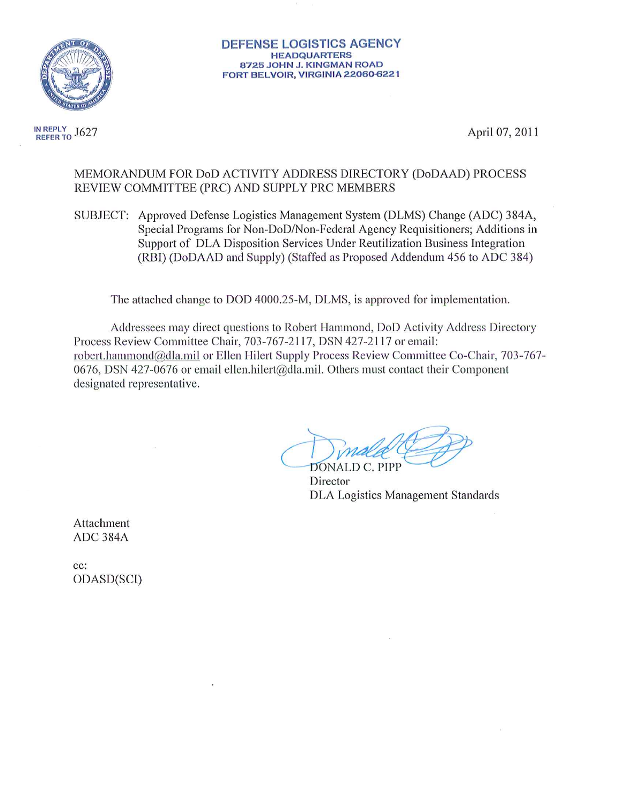

REFER TO J627 IN REPLY

April 07, 2011

#### MEMORANDUM FOR DoD ACTIVITY ADDRESS DIRECTORY (DoDAAD) PROCESS REVIEW COMMITTEE (PRC) AND SUPPLY PRC MEMBERS

SUBJECT: Approved Defense Logistics Management System (DLMS) Change (ADC) 384A, Special Programs for Non-DoD/Non-Federal Agency Requisitioners; Additions in Support of DLA Disposition Services Under Reutilization Business Integration (RBI) (DoDAAD and Supply) (Staffed as Proposed Addendum 456 to ADC 384)

The attached change to DOD 4000.25-M, DLMS, is approved for implementation.

Addressees may direct questions to Robert Hammond, DoD Activity Address Directory Process Review Committee Chair, 703-767-2117, DSN 427-2117 or email: robert.hammond@dla.mil or Ellen Hilert Supply Process Review Committee Co-Chair, 703-767-0676, DSN 427-0676 or email ellen.hilert@dla.mil. Others must contact their Component designated representative.

DONALD C. PIPP Director **DLA Logistics Management Standards** 

Attachment ADC 384A

cc: ODASD(SCI)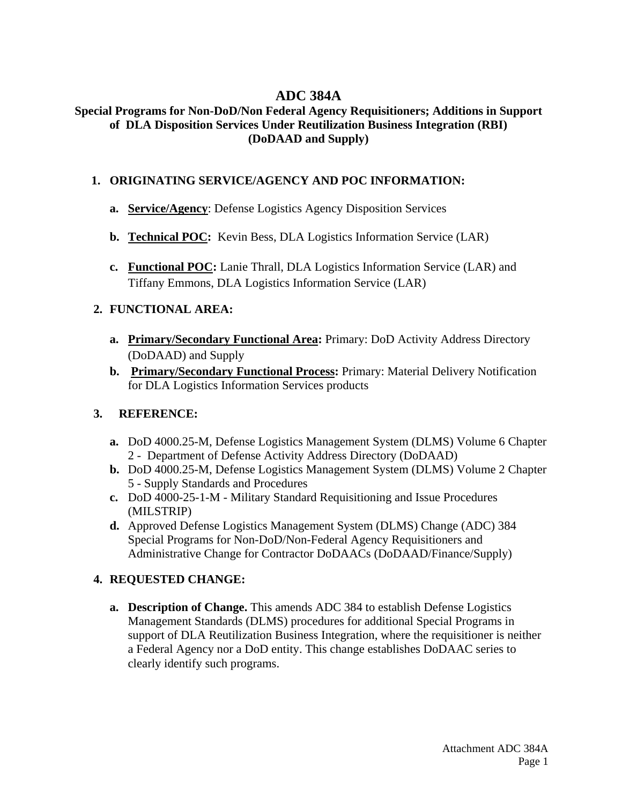# **ADC 384A**

### **Special Programs for Non-DoD/Non Federal Agency Requisitioners; Additions in Support of DLA Disposition Services Under Reutilization Business Integration (RBI) (DoDAAD and Supply)**

## **1. ORIGINATING SERVICE/AGENCY AND POC INFORMATION:**

- **a. Service/Agency**: Defense Logistics Agency Disposition Services
- **b. Technical POC:** Kevin Bess, DLA Logistics Information Service (LAR)
- **c. Functional POC:** Lanie Thrall, DLA Logistics Information Service (LAR) and Tiffany Emmons, DLA Logistics Information Service (LAR)

# **2. FUNCTIONAL AREA:**

- **a. Primary/Secondary Functional Area:** Primary: DoD Activity Address Directory (DoDAAD) and Supply
- **b. Primary/Secondary Functional Process:** Primary: Material Delivery Notification for DLA Logistics Information Services products

# **3. REFERENCE:**

- **a.** DoD 4000.25-M, Defense Logistics Management System (DLMS) Volume 6 Chapter 2 - Department of Defense Activity Address Directory (DoDAAD)
- **b.** DoD 4000.25-M, Defense Logistics Management System (DLMS) Volume 2 Chapter 5 - Supply Standards and Procedures
- **c.** DoD 4000-25-1-M Military Standard Requisitioning and Issue Procedures (MILSTRIP)
- **d.** Approved Defense Logistics Management System (DLMS) Change (ADC) 384 Special Programs for Non-DoD/Non-Federal Agency Requisitioners and Administrative Change for Contractor DoDAACs (DoDAAD/Finance/Supply)

# **4. REQUESTED CHANGE:**

**a. Description of Change.** This amends ADC 384 to establish Defense Logistics Management Standards (DLMS) procedures for additional Special Programs in support of DLA Reutilization Business Integration, where the requisitioner is neither a Federal Agency nor a DoD entity. This change establishes DoDAAC series to clearly identify such programs.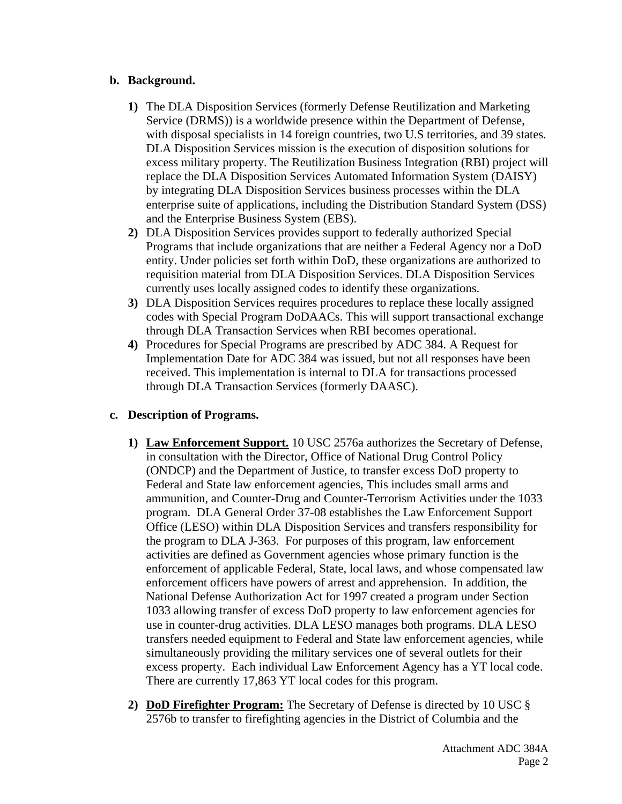### **b. Background.**

- **1)** The DLA Disposition Services (formerly Defense Reutilization and Marketing Service (DRMS)) is a worldwide presence within the Department of Defense, with disposal specialists in 14 foreign countries, two U.S territories, and 39 states. DLA Disposition Services mission is the execution of disposition solutions for excess military property. The Reutilization Business Integration (RBI) project will replace the DLA Disposition Services Automated Information System (DAISY) by integrating DLA Disposition Services business processes within the DLA enterprise suite of applications, including the Distribution Standard System (DSS) and the Enterprise Business System (EBS).
- **2)** DLA Disposition Services provides support to federally authorized Special Programs that include organizations that are neither a Federal Agency nor a DoD entity. Under policies set forth within DoD, these organizations are authorized to requisition material from DLA Disposition Services. DLA Disposition Services currently uses locally assigned codes to identify these organizations.
- **3)** DLA Disposition Services requires procedures to replace these locally assigned codes with Special Program DoDAACs. This will support transactional exchange through DLA Transaction Services when RBI becomes operational.
- **4)** Procedures for Special Programs are prescribed by ADC 384. A Request for Implementation Date for ADC 384 was issued, but not all responses have been received. This implementation is internal to DLA for transactions processed through DLA Transaction Services (formerly DAASC).

### **c. Description of Programs.**

- **1) Law Enforcement Support.** 10 USC 2576a authorizes the Secretary of Defense, in consultation with the Director, Office of National Drug Control Policy (ONDCP) and the Department of Justice, to transfer excess DoD property to Federal and State law enforcement agencies, This includes small arms and ammunition, and Counter-Drug and Counter-Terrorism Activities under the 1033 program. DLA General Order 37-08 establishes the Law Enforcement Support Office (LESO) within DLA Disposition Services and transfers responsibility for the program to DLA J-363. For purposes of this program, law enforcement activities are defined as Government agencies whose primary function is the enforcement of applicable Federal, State, local laws, and whose compensated law enforcement officers have powers of arrest and apprehension. In addition, the National Defense Authorization Act for 1997 created a program under Section 1033 allowing transfer of excess DoD property to law enforcement agencies for use in counter-drug activities. DLA LESO manages both programs. DLA LESO transfers needed equipment to Federal and State law enforcement agencies, while simultaneously providing the military services one of several outlets for their excess property. Each individual Law Enforcement Agency has a YT local code. There are currently 17,863 YT local codes for this program.
- **2) DoD Firefighter Program:** The Secretary of Defense is directed by 10 USC § 2576b to transfer to firefighting agencies in the District of Columbia and the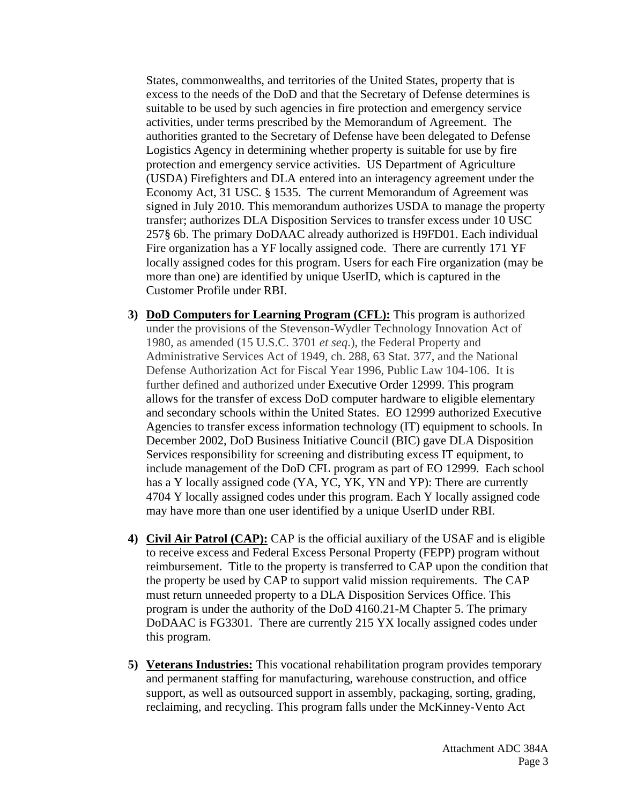States, commonwealths, and territories of the United States, property that is excess to the needs of the DoD and that the Secretary of Defense determines is suitable to be used by such agencies in fire protection and emergency service activities, under terms prescribed by the Memorandum of Agreement. The authorities granted to the Secretary of Defense have been delegated to Defense Logistics Agency in determining whether property is suitable for use by fire protection and emergency service activities. US Department of Agriculture (USDA) Firefighters and DLA entered into an interagency agreement under the Economy Act, 31 USC. § 1535. The current Memorandum of Agreement was signed in July 2010. This memorandum authorizes USDA to manage the property transfer; authorizes DLA Disposition Services to transfer excess under 10 USC 257§ 6b. The primary DoDAAC already authorized is H9FD01. Each individual Fire organization has a YF locally assigned code. There are currently 171 YF locally assigned codes for this program. Users for each Fire organization (may be more than one) are identified by unique UserID, which is captured in the Customer Profile under RBI.

- **3) DoD Computers for Learning Program (CFL):** This program is authorized under the provisions of the Stevenson-Wydler Technology Innovation Act of 1980, as amended (15 U.S.C. 3701 *et seq*.), the Federal Property and Administrative Services Act of 1949, ch. 288, 63 Stat. 377, and the National Defense Authorization Act for Fiscal Year 1996, Public Law 104-106. It is further defined and authorized under Executive Order 12999. This program allows for the transfer of excess DoD computer hardware to eligible elementary and secondary schools within the United States. EO 12999 authorized Executive Agencies to transfer excess information technology (IT) equipment to schools. In December 2002, DoD Business Initiative Council (BIC) gave DLA Disposition Services responsibility for screening and distributing excess IT equipment, to include management of the DoD CFL program as part of EO 12999. Each school has a Y locally assigned code (YA, YC, YK, YN and YP): There are currently 4704 Y locally assigned codes under this program. Each Y locally assigned code may have more than one user identified by a unique UserID under RBI.
- **4) Civil Air Patrol (CAP):** CAP is the official auxiliary of the USAF and is eligible to receive excess and Federal Excess Personal Property (FEPP) program without reimbursement. Title to the property is transferred to CAP upon the condition that the property be used by CAP to support valid mission requirements. The CAP must return unneeded property to a DLA Disposition Services Office. This program is under the authority of the DoD 4160.21-M Chapter 5. The primary DoDAAC is FG3301. There are currently 215 YX locally assigned codes under this program.
- **5) Veterans Industries:** This vocational rehabilitation program provides temporary and permanent staffing for manufacturing, warehouse construction, and office support, as well as outsourced support in assembly, packaging, sorting, grading, reclaiming, and recycling. This program falls under the McKinney-Vento Act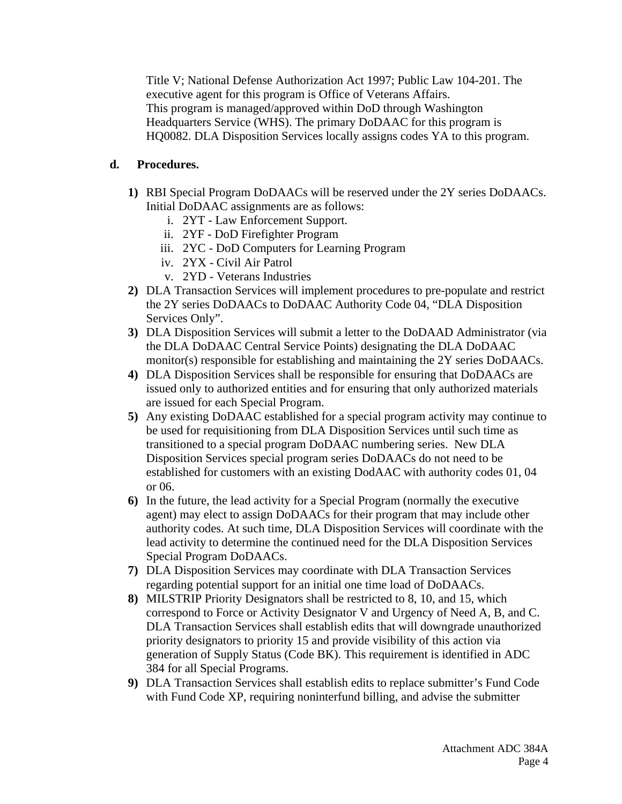Title V; National Defense Authorization Act 1997; Public Law 104-201. The executive agent for this program is Office of Veterans Affairs. This program is managed/approved within DoD through Washington Headquarters Service (WHS). The primary DoDAAC for this program is HQ0082. DLA Disposition Services locally assigns codes YA to this program.

# **d. Procedures.**

- **1)** RBI Special Program DoDAACs will be reserved under the 2Y series DoDAACs. Initial DoDAAC assignments are as follows:
	- i. 2YT Law Enforcement Support.
	- ii. 2YF DoD Firefighter Program
	- iii. 2YC DoD Computers for Learning Program
	- iv. 2YX Civil Air Patrol
	- v. 2YD Veterans Industries
- **2)** DLA Transaction Services will implement procedures to pre-populate and restrict the 2Y series DoDAACs to DoDAAC Authority Code 04, "DLA Disposition Services Only".
- **3)** DLA Disposition Services will submit a letter to the DoDAAD Administrator (via the DLA DoDAAC Central Service Points) designating the DLA DoDAAC monitor(s) responsible for establishing and maintaining the 2Y series DoDAACs.
- **4)** DLA Disposition Services shall be responsible for ensuring that DoDAACs are issued only to authorized entities and for ensuring that only authorized materials are issued for each Special Program.
- **5)** Any existing DoDAAC established for a special program activity may continue to be used for requisitioning from DLA Disposition Services until such time as transitioned to a special program DoDAAC numbering series. New DLA Disposition Services special program series DoDAACs do not need to be established for customers with an existing DodAAC with authority codes 01, 04 or 06.
- **6)** In the future, the lead activity for a Special Program (normally the executive agent) may elect to assign DoDAACs for their program that may include other authority codes. At such time, DLA Disposition Services will coordinate with the lead activity to determine the continued need for the DLA Disposition Services Special Program DoDAACs.
- **7)** DLA Disposition Services may coordinate with DLA Transaction Services regarding potential support for an initial one time load of DoDAACs.
- **8)** MILSTRIP Priority Designators shall be restricted to 8, 10, and 15, which correspond to Force or Activity Designator V and Urgency of Need A, B, and C. DLA Transaction Services shall establish edits that will downgrade unauthorized priority designators to priority 15 and provide visibility of this action via generation of Supply Status (Code BK). This requirement is identified in ADC 384 for all Special Programs.
- **9)** DLA Transaction Services shall establish edits to replace submitter's Fund Code with Fund Code XP, requiring noninterfund billing, and advise the submitter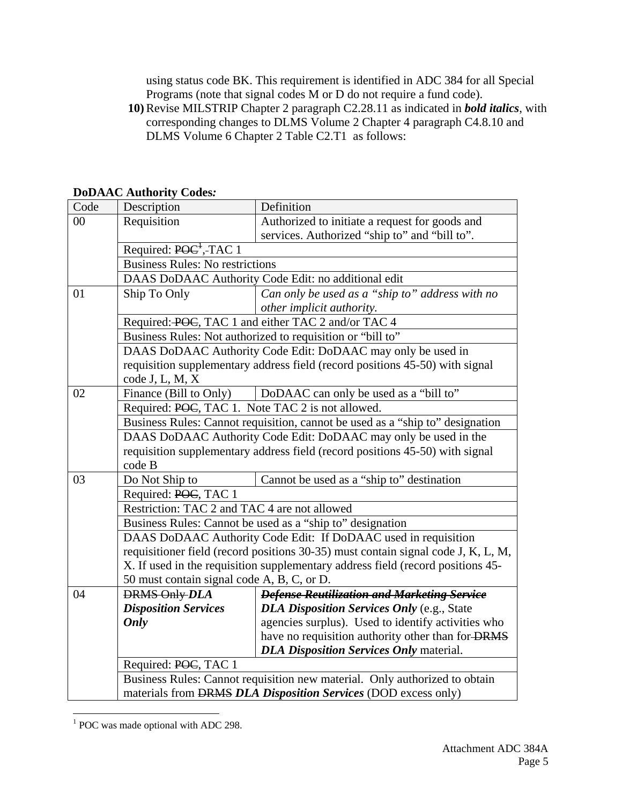using status code BK. This requirement is identified in ADC 384 for all Special Programs (note that signal codes M or D do not require a fund code).

**10)** Revise MILSTRIP Chapter 2 paragraph C2.28.11 as indicated in *bold italics*, with corresponding changes to DLMS Volume 2 Chapter 4 paragraph C4.8.10 and DLMS Volume 6 Chapter 2 Table C2.T1 as follows:

**DoDAAC Authority Codes***:* 

| Code | Description                                                                       | Definition                                         |  |
|------|-----------------------------------------------------------------------------------|----------------------------------------------------|--|
| 00   | Requisition                                                                       | Authorized to initiate a request for goods and     |  |
|      |                                                                                   | services. Authorized "ship to" and "bill to".      |  |
|      | Required: POC <sup>+</sup> , TAC 1                                                |                                                    |  |
|      | <b>Business Rules: No restrictions</b>                                            |                                                    |  |
|      | DAAS DoDAAC Authority Code Edit: no additional edit                               |                                                    |  |
| 01   | Ship To Only                                                                      | Can only be used as a "ship to" address with no    |  |
|      |                                                                                   | other implicit authority.                          |  |
|      |                                                                                   | Required: POC, TAC 1 and either TAC 2 and/or TAC 4 |  |
|      | Business Rules: Not authorized to requisition or "bill to"                        |                                                    |  |
|      | DAAS DoDAAC Authority Code Edit: DoDAAC may only be used in                       |                                                    |  |
|      | requisition supplementary address field (record positions 45-50) with signal      |                                                    |  |
|      | code J, L, M, X                                                                   |                                                    |  |
| 02   | Finance (Bill to Only)                                                            | DoDAAC can only be used as a "bill to"             |  |
|      | Required: POC, TAC 1. Note TAC 2 is not allowed.                                  |                                                    |  |
|      | Business Rules: Cannot requisition, cannot be used as a "ship to" designation     |                                                    |  |
|      | DAAS DoDAAC Authority Code Edit: DoDAAC may only be used in the                   |                                                    |  |
|      | requisition supplementary address field (record positions 45-50) with signal      |                                                    |  |
|      | code B                                                                            |                                                    |  |
| 03   | Do Not Ship to                                                                    | Cannot be used as a "ship to" destination          |  |
|      | Required: POC, TAC 1                                                              |                                                    |  |
|      | Restriction: TAC 2 and TAC 4 are not allowed                                      |                                                    |  |
|      | Business Rules: Cannot be used as a "ship to" designation                         |                                                    |  |
|      | DAAS DoDAAC Authority Code Edit: If DoDAAC used in requisition                    |                                                    |  |
|      | requisitioner field (record positions 30-35) must contain signal code J, K, L, M, |                                                    |  |
|      | X. If used in the requisition supplementary address field (record positions 45-   |                                                    |  |
|      | 50 must contain signal code A, B, C, or D.                                        |                                                    |  |
| 04   | <b>DRMS Only DLA</b>                                                              | <b>Defense Reutilization and Marketing Service</b> |  |
|      | <b>Disposition Services</b>                                                       | <b>DLA Disposition Services Only (e.g., State</b>  |  |
|      | Only                                                                              | agencies surplus). Used to identify activities who |  |
|      |                                                                                   | have no requisition authority other than for DRMS  |  |
|      |                                                                                   | <b>DLA Disposition Services Only material.</b>     |  |
|      | Required: POC, TAC 1                                                              |                                                    |  |
|      | Business Rules: Cannot requisition new material. Only authorized to obtain        |                                                    |  |
|      | materials from <b>DRMS DLA Disposition Services</b> (DOD excess only)             |                                                    |  |

 $\overline{a}$ <sup>1</sup> POC was made optional with ADC 298.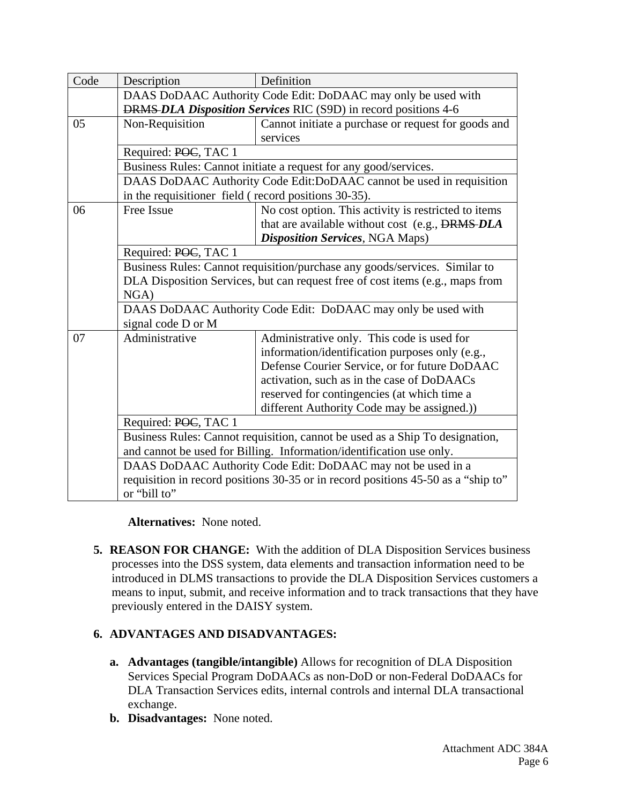| Code | Description                                                                       | Definition                                                    |  |
|------|-----------------------------------------------------------------------------------|---------------------------------------------------------------|--|
|      |                                                                                   | DAAS DoDAAC Authority Code Edit: DoDAAC may only be used with |  |
|      | <b>DRMS-DLA Disposition Services RIC (S9D) in record positions 4-6</b>            |                                                               |  |
| 05   | Non-Requisition                                                                   | Cannot initiate a purchase or request for goods and           |  |
|      |                                                                                   | services                                                      |  |
|      | Required: POC, TAC 1                                                              |                                                               |  |
|      | Business Rules: Cannot initiate a request for any good/services.                  |                                                               |  |
|      | DAAS DoDAAC Authority Code Edit: DoDAAC cannot be used in requisition             |                                                               |  |
|      | in the requisitioner field (record positions 30-35).                              |                                                               |  |
| 06   | Free Issue                                                                        | No cost option. This activity is restricted to items          |  |
|      |                                                                                   | that are available without cost (e.g., DRMS-DLA               |  |
|      |                                                                                   | <b>Disposition Services</b> , NGA Maps)                       |  |
|      | Required: POC, TAC 1                                                              |                                                               |  |
|      | Business Rules: Cannot requisition/purchase any goods/services. Similar to        |                                                               |  |
|      | DLA Disposition Services, but can request free of cost items (e.g., maps from     |                                                               |  |
|      | NGA)                                                                              |                                                               |  |
|      | DAAS DoDAAC Authority Code Edit: DoDAAC may only be used with                     |                                                               |  |
|      | signal code D or M                                                                |                                                               |  |
| 07   | Administrative                                                                    | Administrative only. This code is used for                    |  |
|      |                                                                                   | information/identification purposes only (e.g.,               |  |
|      |                                                                                   | Defense Courier Service, or for future DoDAAC                 |  |
|      |                                                                                   | activation, such as in the case of DoDAACs                    |  |
|      |                                                                                   | reserved for contingencies (at which time a                   |  |
|      |                                                                                   | different Authority Code may be assigned.))                   |  |
|      | Required: POC, TAC 1                                                              |                                                               |  |
|      | Business Rules: Cannot requisition, cannot be used as a Ship To designation,      |                                                               |  |
|      | and cannot be used for Billing. Information/identification use only.              |                                                               |  |
|      | DAAS DoDAAC Authority Code Edit: DoDAAC may not be used in a                      |                                                               |  |
|      | requisition in record positions 30-35 or in record positions 45-50 as a "ship to" |                                                               |  |
|      | or "bill to"                                                                      |                                                               |  |

**Alternatives:** None noted.

**5. REASON FOR CHANGE:** With the addition of DLA Disposition Services business processes into the DSS system, data elements and transaction information need to be introduced in DLMS transactions to provide the DLA Disposition Services customers a means to input, submit, and receive information and to track transactions that they have previously entered in the DAISY system.

# **6. ADVANTAGES AND DISADVANTAGES:**

- **a. Advantages (tangible/intangible)** Allows for recognition of DLA Disposition Services Special Program DoDAACs as non-DoD or non-Federal DoDAACs for DLA Transaction Services edits, internal controls and internal DLA transactional exchange.
- **b. Disadvantages:** None noted.